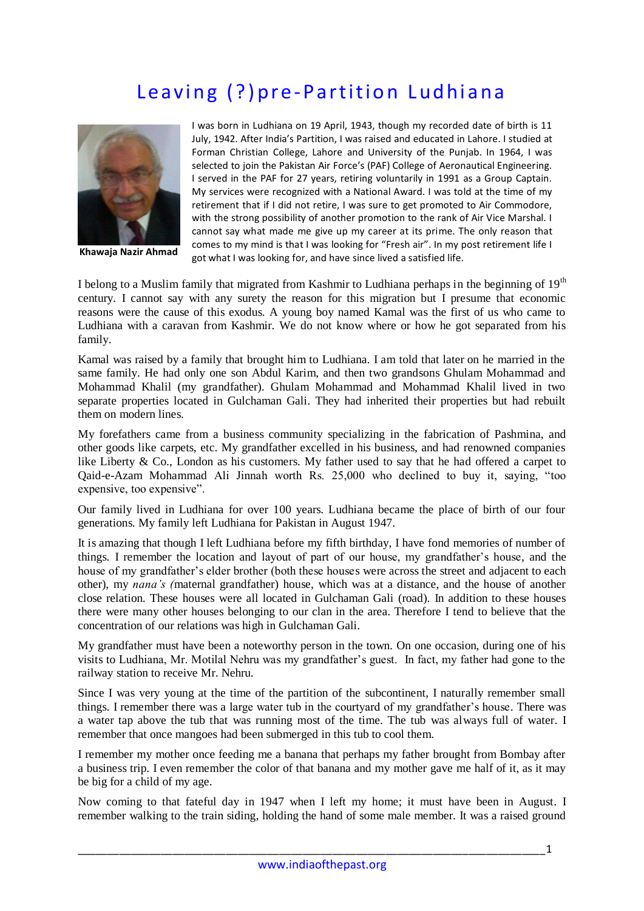## Leaving (?) pre-Partition Ludhiana



**Khawaja Nazir Ahmad**

I was born in Ludhiana on 19 April, 1943, though my recorded date of birth is 11 July, 1942. After India's Partition, I was raised and educated in Lahore. I studied at Forman Christian College, Lahore and University of the Punjab. In 1964, I was selected to join the Pakistan Air Force's (PAF) College of Aeronautical Engineering. I served in the PAF for 27 years, retiring voluntarily in 1991 as a Group Captain. My services were recognized with a National Award. I was told at the time of my retirement that if I did not retire, I was sure to get promoted to Air Commodore, with the strong possibility of another promotion to the rank of Air Vice Marshal. I cannot say what made me give up my career at its prime. The only reason that comes to my mind is that I was looking for "Fresh air". In my post retirement life I got what I was looking for, and have since lived a satisfied life.

I belong to a Muslim family that migrated from Kashmir to Ludhiana perhaps in the beginning of 19<sup>th</sup> century. I cannot say with any surety the reason for this migration but I presume that economic reasons were the cause of this exodus. A young boy named Kamal was the first of us who came to Ludhiana with a caravan from Kashmir. We do not know where or how he got separated from his family.

Kamal was raised by a family that brought him to Ludhiana. I am told that later on he married in the same family. He had only one son Abdul Karim, and then two grandsons Ghulam Mohammad and Mohammad Khalil (my grandfather). Ghulam Mohammad and Mohammad Khalil lived in two separate properties located in Gulchaman Gali. They had inherited their properties but had rebuilt them on modern lines.

My forefathers came from a business community specializing in the fabrication of Pashmina, and other goods like carpets, etc. My grandfather excelled in his business, and had renowned companies like Liberty & Co., London as his customers. My father used to say that he had offered a carpet to Qaid-e-Azam Mohammad Ali Jinnah worth Rs. 25,000 who declined to buy it, saying, "too expensive, too expensive".

Our family lived in Ludhiana for over 100 years. Ludhiana became the place of birth of our four generations. My family left Ludhiana for Pakistan in August 1947.

It is amazing that though I left Ludhiana before my fifth birthday, I have fond memories of number of things. I remember the location and layout of part of our house, my grandfather's house, and the house of my grandfather's elder brother (both these houses were across the street and adjacent to each other), my *nana's (*maternal grandfather) house, which was at a distance, and the house of another close relation. These houses were all located in Gulchaman Gali (road). In addition to these houses there were many other houses belonging to our clan in the area. Therefore I tend to believe that the concentration of our relations was high in Gulchaman Gali.

My grandfather must have been a noteworthy person in the town. On one occasion, during one of his visits to Ludhiana, Mr. Motilal Nehru was my grandfather's guest. In fact, my father had gone to the railway station to receive Mr. Nehru.

Since I was very young at the time of the partition of the subcontinent, I naturally remember small things. I remember there was a large water tub in the courtyard of my grandfather's house. There was a water tap above the tub that was running most of the time. The tub was always full of water. I remember that once mangoes had been submerged in this tub to cool them.

I remember my mother once feeding me a banana that perhaps my father brought from Bombay after a business trip. I even remember the color of that banana and my mother gave me half of it, as it may be big for a child of my age.

Now coming to that fateful day in 1947 when I left my home; it must have been in August. I remember walking to the train siding, holding the hand of some male member. It was a raised ground

\_\_\_\_\_\_\_\_\_\_\_\_\_\_\_\_\_\_\_\_\_\_\_\_\_\_\_\_\_\_\_\_\_\_\_\_\_\_\_\_\_\_\_\_\_\_\_\_\_\_\_\_\_\_\_\_\_\_\_\_\_\_\_\_\_\_\_\_\_\_\_\_\_\_\_\_\_\_\_1